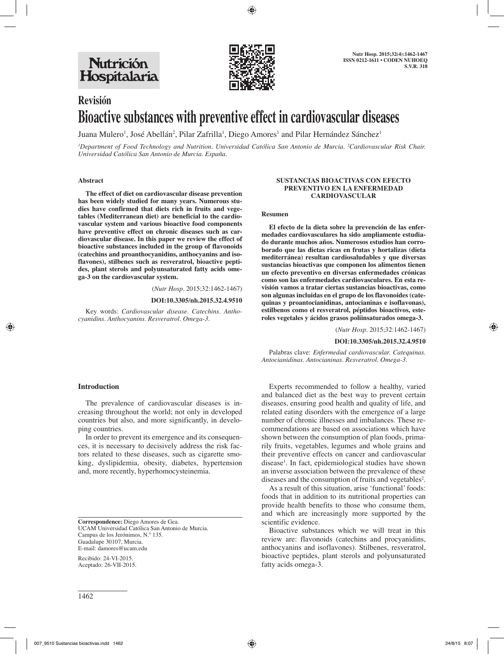

# **Revisión Bioactive substances with preventive effect in cardiovascular diseases**

Juana Mulero<sup>1</sup>, José Abellán<sup>2</sup>, Pilar Zafrilla<sup>1</sup>, Diego Amores<sup>1</sup> and Pilar Hernández Sánchez<sup>1</sup>

*1 Department of Food Technology and Nutrition. Universidad Católica San Antonio de Murcia. 2 Cardiovascular Risk Chair. Universidad Católica San Antonio de Murcia. España.*

### **Abstract**

**The effect of diet on cardiovascular disease prevention has been widely studied for many years. Numerous studies have confirmed that diets rich in fruits and vegetables (Mediterranean diet) are beneficial to the cardiovascular system and various bioactive food components have preventive effect on chronic diseases such as cardiovascular disease. In this paper we review the effect of bioactive substances included in the group of flavonoids (catechins and proanthocyanidins, anthocyanins and isoflavones), stilbenes such as resveratrol, bioactive peptides, plant sterols and polyunsaturated fatty acids omega-3 on the cardiovascular system.**

(*Nutr Hosp.* 2015;32:1462-1467)

#### **DOI:10.3305/nh.2015.32.4.9510**

Key words: *Cardiovascular disease. Catechins. Anthocyanidins. Anthocyanins. Resveratrol. Omega-3.*

#### **SUSTANCIAS BIOACTIVAS CON EFECTO PREVENTIVO EN LA ENFERMEDAD CARDIOVASCULAR**

#### **Resumen**

**El efecto de la dieta sobre la prevención de las enfermedades cardiovasculares ha sido ampliamente estudiado durante muchos años. Numerosos estudios han corroborado que las dietas ricas en frutas y hortalizas (dieta mediterránea) resultan cardiosaludables y que diversas sustancias bioactivas que componen los alimentos tienen un efecto preventivo en diversas enfermedades crónicas como son las enfermedades cardiovasculares. En esta revisión vamos a tratar ciertas sustancias bioactivas, como son algunas incluidas en el grupo de los flavonoides (catequinas y proantocianidinas, antocianinas e isoflavonas), estilbenos como el resveratrol, péptidos bioactivos, esteroles vegetales y ácidos grasos poliinsaturados omega-3.**

(*Nutr Hosp.* 2015;32:1462-1467)

#### **DOI:10.3305/nh.2015.32.4.9510**

Palabras clave: *Enfermedad cardiovascular. Catequinas. Antocianidinas. Antocianinas. Resveratrol. Omega-3.*

### **Introduction**

The prevalence of cardiovascular diseases is increasing throughout the world; not only in developed countries but also, and more significantly, in developing countries.

In order to prevent its emergence and its consequences, it is necessary to decisively address the risk factors related to these diseases, such as cigarette smoking, dyslipidemia, obesity, diabetes, hypertension and, more recently, hyperhomocysteinemia.

**Correspondence:** Diego Amores de Gea. UCAM Universidad Católica San Antonio de Murcia. Campus de los Jerónimos, N.º 135. Guadalupe 30107, Murcia. E-mail: damores@ucam.edu

Recibido: 24-VI-2015. Aceptado: 26-VII-2015.

1462

Experts recommended to follow a healthy, varied and balanced diet as the best way to prevent certain diseases, ensuring good health and quality of life, and related eating disorders with the emergence of a large number of chronic illnesses and imbalances. These recommendations are based on associations which have shown between the consumption of plan foods, primarily fruits, vegetables, legumes and whole grains and their preventive effects on cancer and cardiovascular disease<sup>1</sup>. In fact, epidemiological studies have shown an inverse association between the prevalence of these diseases and the consumption of fruits and vegetables<sup>2</sup>.

As a result of this situation, arise 'functional' foods: foods that in addition to its nutritional properties can provide health benefits to those who consume them, and which are increasingly more supported by the scientific evidence.

Bioactive substances which we will treat in this review are: flavonoids (catechins and procyanidins, anthocyanins and isoflavones). Stilbenes, resveratrol, bioactive peptides, plant sterols and polyunsaturated fatty acids omega-3.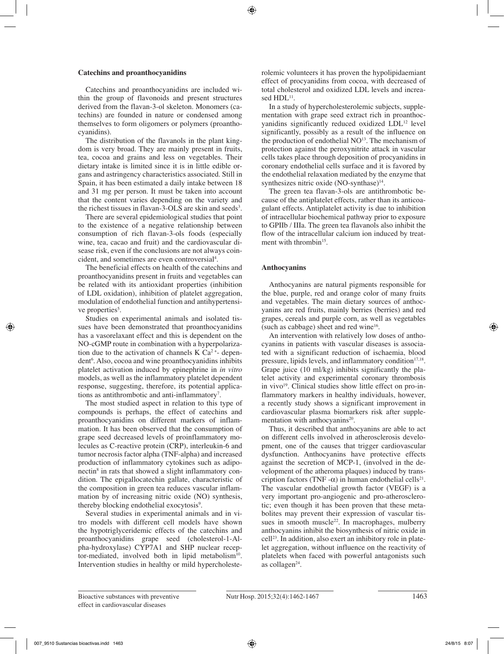# **Catechins and proanthocyanidins**

Catechins and proanthocyanidins are included within the group of flavonoids and present structures derived from the flavan-3-ol skeleton. Monomers (catechins) are founded in nature or condensed among themselves to form oligomers or polymers (proanthocyanidins).

The distribution of the flavanols in the plant kingdom is very broad. They are mainly present in fruits, tea, cocoa and grains and less on vegetables. Their dietary intake is limited since it is in little edible organs and astringency characteristics associated. Still in Spain, it has been estimated a daily intake between 18 and 31 mg per person. It must be taken into account that the content varies depending on the variety and the richest tissues in flavan-3-OLS are skin and seeds<sup>3</sup>.

There are several epidemiological studies that point to the existence of a negative relationship between consumption of rich flavan-3-ols foods (especially wine, tea, cacao and fruit) and the cardiovascular disease risk, even if the conclusions are not always coincident, and sometimes are even controversial<sup>4</sup>.

The beneficial effects on health of the catechins and proanthocyanidins present in fruits and vegetables can be related with its antioxidant properties (inhibition of LDL oxidation), inhibition of platelet aggregation, modulation of endothelial function and antihypertensive properties<sup>5</sup>.

Studies on experimental animals and isolated tissues have been demonstrated that proanthocyanidins has a vasorelaxant effect and this is dependent on the NO-cGMP route in combination with a hyperpolarization due to the activation of channels K  $Ca<sup>2+</sup>$ - dependent<sup>6</sup>. Also, cocoa and wine proanthocyanidins inhibits platelet activation induced by epinephrine in *in vitro*  models, as well as the inflammatory platelet dependent response, suggesting, therefore, its potential applications as antithrombotic and anti-inflammatory7 .

The most studied aspect in relation to this type of compounds is perhaps, the effect of catechins and proanthocyanidins on different markers of inflammation. It has been observed that the consumption of grape seed decreased levels of proinflammatory molecules as C-reactive protein (CRP), interleukin-6 and tumor necrosis factor alpha (TNF-alpha) and increased production of inflammatory cytokines such as adiponectin8 in rats that showed a slight inflammatory condition. The epigallocatechin gallate, characteristic of the composition in green tea reduces vascular inflammation by of increasing nitric oxide (NO) synthesis, thereby blocking endothelial exocytosis<sup>9</sup>.

Several studies in experimental animals and in vitro models with different cell models have shown the hypotriglyceridemic effects of the catechins and proanthocyanidins grape seed (cholesterol-1-Alpha-hydroxylase) CYP7A1 and SHP nuclear receptor-mediated, involved both in lipid metabolism<sup>10</sup>. Intervention studies in healthy or mild hypercholesterolemic volunteers it has proven the hypolipidaemiant effect of procyanidins from cocoa, with decreased of total cholesterol and oxidized LDL levels and increased  $HDI$ <sup>11</sup>.

In a study of hypercholesterolemic subjects, supplementation with grape seed extract rich in proanthocyanidins significantly reduced oxidized LDL<sup>12</sup> level significantly, possibly as a result of the influence on the production of endothelial NO<sup>13</sup>. The mechanism of protection against the peroxynitrite attack in vascular cells takes place through deposition of procyanidins in coronary endothelial cells surface and it is favored by the endothelial relaxation mediated by the enzyme that synthesizes nitric oxide  $(NO-synthase)^{14}$ .

The green tea flavan-3-ols are antithrombotic because of the antiplatelet effects, rather than its anticoagulant effects. Antiplatelet activity is due to inhibition of intracellular biochemical pathway prior to exposure to GPIIb / IIIa. The green tea flavanols also inhibit the flow of the intracellular calcium ion induced by treatment with thrombin<sup>15</sup>.

# **Anthocyanins**

Anthocyanins are natural pigments responsible for the blue, purple, red and orange color of many fruits and vegetables. The main dietary sources of anthocyanins are red fruits, mainly berries (berries) and red grapes, cereals and purple corn, as well as vegetables (such as cabbage) sheet and red wine16.

An intervention with relatively low doses of anthocyanins in patients with vascular diseases is associated with a significant reduction of ischaemia, blood pressure, lipids levels, and inflammatory condition<sup>17,18</sup>. Grape juice (10 ml/kg) inhibits significantly the platelet activity and experimental coronary thrombosis in vivo<sup>19</sup>. Clinical studies show little effect on pro-inflammatory markers in healthy individuals, however, a recently study shows a significant improvement in cardiovascular plasma biomarkers risk after supplementation with anthocyanins $20$ .

Thus, it described that anthocyanins are able to act on different cells involved in atherosclerosis development, one of the causes that trigger cardiovascular dysfunction. Anthocyanins have protective effects against the secretion of MCP-1, (involved in the development of the atheroma plaques) induced by transcription factors (TNF - $\alpha$ ) in human endothelial cells<sup>21</sup>. The vascular endothelial growth factor (VEGF) is a very important pro-angiogenic and pro-atherosclerotic; even though it has been proven that these metabolites may prevent their expression of vascular tissues in smooth muscle<sup>22</sup>. In macrophages, mulberry anthocyanins inhibit the biosynthesis of nitric oxide in cell23. In addition, also exert an inhibitory role in platelet aggregation, without influence on the reactivity of platelets when faced with powerful antagonists such as collagen $24$ .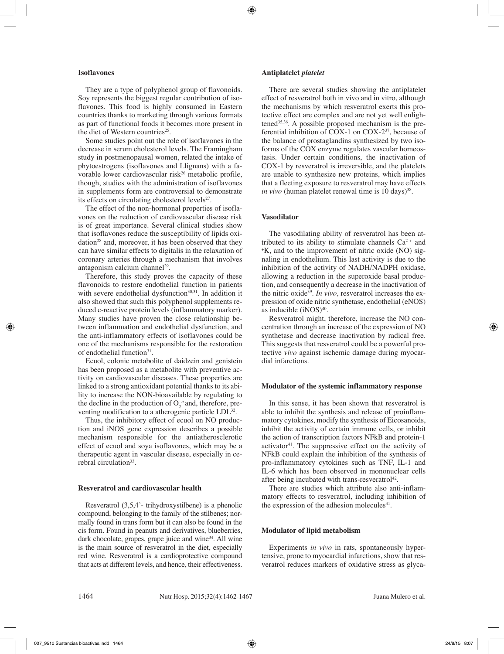## **Isoflavones**

They are a type of polyphenol group of flavonoids. Soy represents the biggest regular contribution of isoflavones. This food is highly consumed in Eastern countries thanks to marketing through various formats as part of functional foods it becomes more present in the diet of Western countries<sup>25</sup>.

Some studies point out the role of isoflavones in the decrease in serum cholesterol levels. The Framingham study in postmenopausal women, related the intake of phytoestrogens (isoflavones and Llignans) with a favorable lower cardiovascular risk<sup>26</sup> metabolic profile, though, studies with the administration of isoflavones in supplements form are controversial to demonstrate its effects on circulating cholesterol levels<sup>27</sup>.

The effect of the non-hormonal properties of isoflavones on the reduction of cardiovascular disease risk is of great importance. Several clinical studies show that isoflavones reduce the susceptibility of lipids oxidation<sup>28</sup> and, moreover, it has been observed that they can have similar effects to digitalis in the relaxation of coronary arteries through a mechanism that involves antagonism calcium channel<sup>29</sup>.

Therefore, this study proves the capacity of these flavonoids to restore endothelial function in patients with severe endothelial dysfunction<sup>30,31</sup>. In addition it also showed that such this polyphenol supplements reduced c-reactive protein levels (inflammatory marker). Many studies have proven the close relationship between inflammation and endothelial dysfunction, and the anti-inflammatory effects of isoflavones could be one of the mechanisms responsible for the restoration of endothelial function<sup>31</sup>.

Ecuol, colonic metabolite of daidzein and genistein has been proposed as a metabolite with preventive activity on cardiovascular diseases. These properties are linked to a strong antioxidant potential thanks to its ability to increase the NON-bioavailable by regulating to the decline in the production of  $O_2$  and, therefore, preventing modification to a atherogenic particle LDL<sup>32</sup>.

Thus, the inhibitory effect of ecuol on NO production and iNOS gene expression describes a possible mechanism responsible for the antiatherosclerotic effect of ecuol and soya isoflavones, which may be a therapeutic agent in vascular disease, especially in cerebral circulation<sup>33</sup>.

# **Resveratrol and cardiovascular health**

Resveratrol (3,5,4'- trihydroxystilbene) is a phenolic compound, belonging to the family of the stilbenes; normally found in trans form but it can also be found in the cis form. Found in peanuts and derivatives, blueberries, dark chocolate, grapes, grape juice and wine<sup>34</sup>. All wine is the main source of resveratrol in the diet, especially red wine. Resveratrol is a cardioprotective compound that acts at different levels, and hence, their effectiveness.

## **Antiplatelet** *platelet*

There are several studies showing the antiplatelet effect of resveratrol both in vivo and in vitro, although the mechanisms by which resveratrol exerts this protective effect are complex and are not yet well enlightened<sup>35,36</sup>. A possible proposed mechanism is the preferential inhibition of COX-1 on COX-237, because of the balance of prostaglandins synthesized by two isoforms of the COX enzyme regulates vascular homeostasis. Under certain conditions, the inactivation of COX-1 by resveratrol is irreversible, and the platelets are unable to synthesize new proteins, which implies that a fleeting exposure to resveratrol may have effects *in vivo* (human platelet renewal time is  $10 \text{ days}$ )<sup>38</sup>.

## **Vasodilator**

The vasodilating ability of resveratrol has been attributed to its ability to stimulate channels  $Ca^{2+}$  and <sup>+</sup>K, and to the improvement of nitric oxide (NO) signaling in endothelium. This last activity is due to the inhibition of the activity of NADH/NADPH oxidase, allowing a reduction in the superoxide basal production, and consequently a decrease in the inactivation of the nitric oxide<sup>39</sup>. *In vivo*, resveratrol increases the expression of oxide nitric synthetase, endothelial (eNOS) as inducible  $(iNOS)^{40}$ .

Resveratrol might, therefore, increase the NO concentration through an increase of the expression of NO synthetase and decrease inactivation by radical free. This suggests that resveratrol could be a powerful protective *vivo* against ischemic damage during myocardial infarctions.

### **Modulator of the systemic inflammatory response**

In this sense, it has been shown that resveratrol is able to inhibit the synthesis and release of proinflammatory cytokines, modify the synthesis of Eicosanoids, inhibit the activity of certain immune cells, or inhibit the action of transcription factors NFkB and protein-1 activator<sup>41</sup>. The suppressive effect on the activity of NFkB could explain the inhibition of the synthesis of pro-inflammatory cytokines such as TNF, IL-1 and IL-6 which has been observed in mononuclear cells after being incubated with trans-resveratrol<sup>42</sup>.

There are studies which attribute also anti-inflammatory effects to resveratrol, including inhibition of the expression of the adhesion molecules<sup>41</sup>.

## **Modulator of lipid metabolism**

Experiments *in vivo* in rats, spontaneously hypertensive, prone to myocardial infarctions, show that resveratrol reduces markers of oxidative stress as glyca-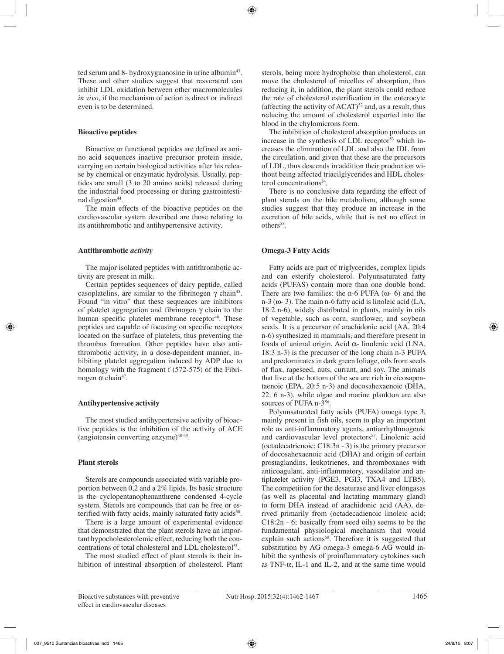ted serum and 8- hydroxyguanosine in urine albumin<sup>43</sup>. These and other studies suggest that resveratrol can inhibit LDL oxidation between other macromolecules *in vivo*, if the mechanism of action is direct or indirect even is to be determined.

# **Bioactive peptides**

Bioactive or functional peptides are defined as amino acid sequences inactive precursor protein inside, carrying on certain biological activities after his release by chemical or enzymatic hydrolysis. Usually, peptides are small (3 to 20 amino acids) released during the industrial food processing or during gastrointestinal digestion<sup>44</sup>.

The main effects of the bioactive peptides on the cardiovascular system described are those relating to its antithrombotic and antihypertensive activity.

# **Antithrombotic** *activity*

The major isolated peptides with antithrombotic activity are present in milk.

Certain peptides sequences of dairy peptide, called casoplatelins, are similar to the fibrinogen  $\gamma$  chain<sup>45</sup>. Found "in vitro" that these sequences are inhibitors of platelet aggregation and fibrinogen γ chain to the human specific platelet membrane receptor<sup>46</sup>. These peptides are capable of focusing on specific receptors located on the surface of platelets, thus preventing the thrombus formation. Other peptides have also antithrombotic activity, in a dose-dependent manner, inhibiting platelet aggregation induced by ADP due to homology with the fragment f (572-575) of the Fibrinogen  $α$  chain<sup>47</sup>.

# **Antihypertensive activity**

The most studied antihypertensive activity of bioactive peptides is the inhibition of the activity of ACE (angiotensin converting enzyme) $48-49$ .

# **Plant sterols**

Sterols are compounds associated with variable proportion between 0,2 and a 2% lipids. Its basic structure is the cyclopentanophenanthrene condensed 4-cycle system. Sterols are compounds that can be free or esterified with fatty acids, mainly saturated fatty acids<sup>50</sup>.

There is a large amount of experimental evidence that demonstrated that the plant sterols have an important hypocholesterolemic effect, reducing both the concentrations of total cholesterol and LDL cholesterol<sup>51</sup>.

The most studied effect of plant sterols is their inhibition of intestinal absorption of cholesterol. Plant sterols, being more hydrophobic than cholesterol, can move the cholesterol of micelles of absorption, thus reducing it, in addition, the plant sterols could reduce the rate of cholesterol esterification in the enterocyte (affecting the activity of  $ACAT$ )<sup>52</sup> and, as a result, thus reducing the amount of cholesterol exported into the blood in the chylomicrons form.

The inhibition of cholesterol absorption produces an increase in the synthesis of LDL receptor<sup>53</sup> which increases the elimination of LDL and also the IDL from the circulation, and given that these are the precursors of LDL, thus descends in addition their production without being affected triacilglycerides and HDL cholesterol concentrations<sup>54</sup>.

There is no conclusive data regarding the effect of plant sterols on the bile metabolism, although some studies suggest that they produce an increase in the excretion of bile acids, while that is not no effect in others<sup>55</sup>.

# **Omega-3 Fatty Acids**

Fatty acids are part of triglycerides, complex lipids and can esterify cholesterol. Polyunsaturated fatty acids (PUFAS) contain more than one double bond. There are two families: the n-6 PUFA  $(\omega - 6)$  and the n-3 (ω- 3). The main n-6 fatty acid is linoleic acid (LA, 18:2 n-6), widely distributed in plants, mainly in oils of vegetable, such as corn, sunflower, and soybean seeds. It is a precursor of arachidonic acid (AA, 20:4 n-6) synthesized in mammals, and therefore present in foods of animal origin. Acid α- linolenic acid (LNA, 18:3 n-3) is the precursor of the long chain n-3 PUFA and predominates in dark green foliage, oils from seeds of flax, rapeseed, nuts, currant, and soy. The animals that live at the bottom of the sea are rich in eicosapentaenoic (EPA, 20:5 n-3) and docosahexaenoic (DHA, 22: 6 n-3), while algae and marine plankton are also sources of PUFA n-3<sup>56</sup>.

Polyunsaturated fatty acids (PUFA) omega type 3, mainly present in fish oils, seem to play an important role as anti-inflammatory agents, antiarrhythmogenic and cardiovascular level protectors<sup>57</sup>. Linolenic acid (octadecatrienoic; C18:3n - 3) is the primary precursor of docosahexaenoic acid (DHA) and origin of certain prostaglandins, leukotrienes, and thromboxanes with anticoagulant, anti-inflammatory, vasodilator and antiplatelet activity (PGE3, PGI3, TXA4 and LTB5). The competition for the desaturase and liver elongasas (as well as placental and lactating mammary gland) to form DHA instead of arachidonic acid (AA), derived primarily from (octadecadienoic linoleic acid; C18:2n - 6; basically from seed oils) seems to be the fundamental physiological mechanism that would explain such actions<sup>58</sup>. Therefore it is suggested that substitution by AG omega-3 omega-6 AG would inhibit the synthesis of proinflammatory cytokines such as TNF- $\alpha$ , IL-1 and IL-2, and at the same time would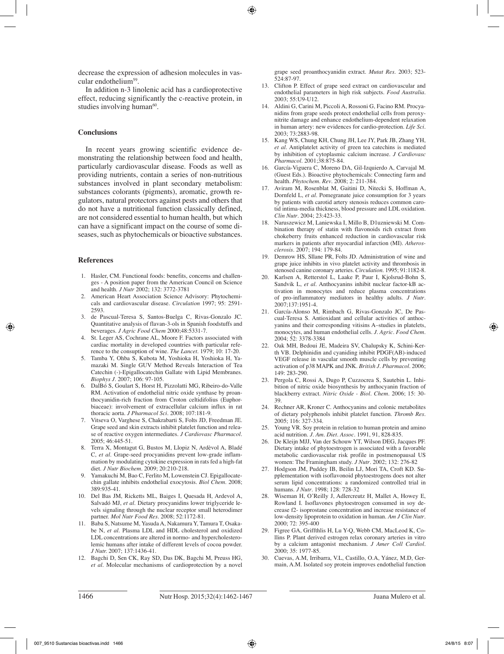decrease the expression of adhesion molecules in vascular endothelium<sup>59</sup>.

In addition n-3 linolenic acid has a cardioprotective effect, reducing significantly the c-reactive protein, in studies involving human<sup>60</sup>.

## **Conclusions**

In recent years growing scientific evidence demonstrating the relationship between food and health, particularly cardiovascular disease. Foods as well as providing nutrients, contain a series of non-nutritious substances involved in plant secondary metabolism: substances colorants (pigments), aromatic, growth regulators, natural protectors against pests and others that do not have a nutritional function classically defined, are not considered essential to human health, but which can have a significant impact on the course of some diseases, such as phytochemicals or bioactive substances.

### **References**

- 1. Hasler, CM. Functional foods: benefits, concerns and challenges - A position paper from the American Council on Science and health. *J Nutr* 2002; 132: 3772-3781
- 2. American Heart Association Science Advisory: Phytochemicals and cardiovascular disease. *Circulation* 1997; 95: 2591- 2593.
- 3. de Pascual-Teresa S, Santos-Buelga C, Rivas-Gonzalo JC. Quantitative analysis of flavan-3-ols in Spanish foodstuffs and beverages. *J Agric Food Chem* 2000;48:5331-7.
- 4. St. Leger AS, Cochrane AL, Moore F. Factors associated with cardiac mortality in developed countries with particular reference to the consuption of wine. *The Lancet*. 1979; 10: 17-20.
- 5. Tamba Y, Ohba S, Kubota M, Yoshioka H, Yoshioka H, Yamazaki M. Single GUV Method Reveals Interaction of Tea Catechin (-)-Epigallocatechin Gallate with Lipid Membranes. *Biophys J.* 2007; 106: 97-105.
- 6. DalBó S, Goulart S, Horst H, Pizzolatti MG, Ribeiro-do-Valle RM. Activation of endothelial nitric oxide synthase by proanthocyanidin-rich fraction from Croton celtidifolius (Euphorbiaceae): involvement of extracellular calcium influx in rat thoracic aorta. *J Pharmacol Sci*. 2008; 107:181-9.
- 7. Vitseva O, Varghese S, Chakrabarti S, Folts JD, Freedman JE. Grape seed and skin extracts inhibit platelet function and release of reactive oxygen intermediates. *J Cardiovasc Pharmacol*. 2005; 46:445-51.
- 8. Terra X, Montagut G, Bustos M, Llopiz N, Ardèvol A, Bladé C, *et al.* Grape-seed procyanidins prevent low-grade inflammation by modulating cytokine expression in rats fed a high-fat diet. *J Nutr Biochem*. 2009; 20:210-218.
- 9. Yamakuchi M, Bao C, Ferlito M, Lowenstein CJ. Epigallocatechin gallate inhibits endothelial exocytosis. *Biol Chem*. 2008; 389:935-41.
- 10. Del Bas JM, Ricketts ML, Baiges I, Quesada H, Ardevol A, Salvadó MJ, *et al.* Dietary procyanidins lower triglyceride levels signaling through the nuclear receptor small heterodimer partner. *Mol Nutr Food Res*. 2008; 52:1172-81.
- 11. Baba S, Natsume M, Yasuda A, Nakamura Y, Tamura T, Osakabe N, *et al.* Plasma LDL and HDL cholesterol and oxidized LDL concentrations are altered in normo- and hypercholesterolemic humans after intake of different levels of cocoa powder. *J Nutr.* 2007; 137:1436-41.
- 12. Bagchi D, Sen CK, Ray SD, Das DK, Bagchi M, Preuss HG, *et al.* Molecular mechanisms of cardioprotection by a novel

grape seed proanthocyanidin extract. *Mutat Res*. 2003; 523- 524:87-97.

- 13. Clifton P. Effect of grape seed extract on cardiovascular and endothelial parameters in high risk subjects. *Food Australia*. 2003; 55:U9-U12.
- 14. Aldini G, Carini M, Piccoli A, Rossoni G, Facino RM. Procyanidins from grape seeds protect endothelial cells from peroxynitrite damage and enhance endothelium-dependent relaxation in human artery: new evidences for cardio-protection. *Life Sci*. 2003; 73:2883-98.
- 15. Kang WS, Chung KH, Chung JH, Lee JY, Park JB, Zhang YH, *et al.* Antiplatelet activity of green tea catechins is mediated by inhibition of cytoplasmic calcium increase. *J Cardiovasc Pharmacol*. 2001;38:875-84.
- 16. García-Viguera C, Moreno DA, Gil-Izquierdo A, Carvajal M. (Guest Eds.). Bioactive phytochemicals: Connecting farm and health. *Phytochem. Rev*. 2008; 2: 211-384.
- 17. Aviram M, Rosenblat M, Gaitini D, Nitecki S, Hoffman A, Dornfeld L, *et al.* Pomegranate juice consumption for 3 years by patients with carotid artery stenosis reduces common carotid intima-media thickness, blood pressure and LDL oxidation. *Clin Nutr*. 2004; 23:423-33.
- 18. Naruszewicz M, Laniewska I, Millo B, D1uzniewski M. Combination therapy of statin with flavonoids rich extract from chokeberry fruits enhanced reduction in cardiovascular risk markers in patients after myocardial infarction (MI). *Atherosclerosis*. 2007; 194: 179-84.
- 19. Demrow HS, Sllane PR, Folts JD. Administration of wine and grape juice inhibits in vivo platelet activity and thrombosis in stenosed canine coronary arteries. *Circulation*. 1995; 91:1182-8.
- Karlsen A, Retterstol L, Laake P, Paur I, Kjolsrud-Bohn S, Sandvik L, et al. Anthocyanins inhibit nuclear factor-kB activation in monocytes and reduce plasma concentrations of pro-inflammatory mediators in healthy adults. *J Nutr*. 2007;137:1951-4.
- 21. García-Alonso M, Rimbach G, Rivas-Gonzalo JC, De Pascual-Teresa S. Antioxidant and cellular activities of anthocyanins and their corresponding vitisins A–studies in platelets, monocytes, and human endothelial cells. *J. Agric. Food Chem*. 2004; 52: 3378-3384
- 22. Oak MH, Bedoui JE, Madeira SV, Chalupsky K, Schini-Kerth VB. Delphinidin and cyaniding inhibit PDGF(AB)-induced VEGF release in vascular smooth muscle cells by preventing activation of p38 MAPK and JNK. *British J. Pharmacol*. 2006; 149: 283-290.
- 23. Pergola C, Rossi A, Dugo P, Cuzzocrea S, Sautebin L. Inhibition of nitric oxide biosynthesis by anthocyanin fraction of blackberry extract. *Nitric Oxide - Biol. Chem*. 2006; 15: 30- 39.
- 24. Rechner AR, Kroner C. Anthocyanins and colonic metabolites of dietary polyphenols inhibit platelet function. *Thromb Res*. 2005; 116: 327-334.
- 25. Young VR. Soy protein in relation to human protein and amino acid nutrition. *J. Am. Diet. Assoc*. 1991, 91, 828-835.
- 26. De Kleijn MJJ, Van der Schouw YT, Wilson DEG, Jacques PF. Dietary intake of phytoestrogen is associated with a favorable metabolic cardiovascular risk profile in postmenopausal US women: The Framingham study. *J Nutr*. 2002; 132: 276-82
- 27. Hodgson JM, Puddey IB, Beilin LJ, Mori TA, Croft KD. Supplementation with isoflavonoid phytoestrogens does not alter serum lipid concentrations: a randomized controlled trial in humans. *J Nutr*. 1998; 128: 728-32
- 28. Wiseman H, O'Reilly J, Adlercreutz H, Mallet A, Howey E, Rowland I. Isoflavones phytoestrogen consumed in soy decrease f2- isoprostane concentration and increase resistance of low-density lipoprotein to oxidation in human. *Am J Clin Nutr*. 2000; 72: 395-400
- 29. Figree GA, Griffthlis H, Lu Y-Q, Webb CM, MacLeod K, Collins P. Plant derived estrogen relax coronary arteries in vitro by a calcium antagonist mechanism. *J Amer Coll Cardiol.*  2000; 35: 1977-85.
- 30. Cuevas, A.M, Irribarra, V.L, Castillo, O.A, Yánez, M.D, Germain, A.M. Isolated soy protein improves endothelial function